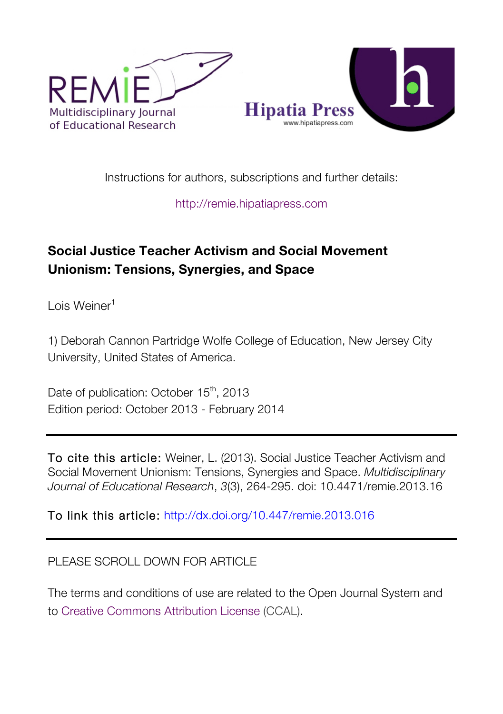

Instructions for authors, subscriptions and further details:

http://remie.hipatiapress.com

## **Social Justice Teacher Activism and Social Movement Unionism: Tensions, Synergies, and Space**

Lois Weiner<sup>1</sup>

1) Deborah Cannon Partridge Wolfe College of Education, New Jersey City University, United States of America.

Date of publication: October 15<sup>th</sup>, 2013 Edition period: October 2013 - February 2014

To cite this article: Weiner, L. (2013). Social Justice Teacher Activism and Social Movement Unionism: Tensions, Synergies and Space. *Multidisciplinary Journal of Educational Research*, *3*(3), 264-295. doi: 10.4471/remie.2013.16

To link this article: http://dx.doi.org/10.447/remie.2013.016

## PLEASE SCROLL DOWN FOR ARTICLE

The terms and conditions of use are related to the Open Journal System and to Creative Commons Attribution License (CCAL).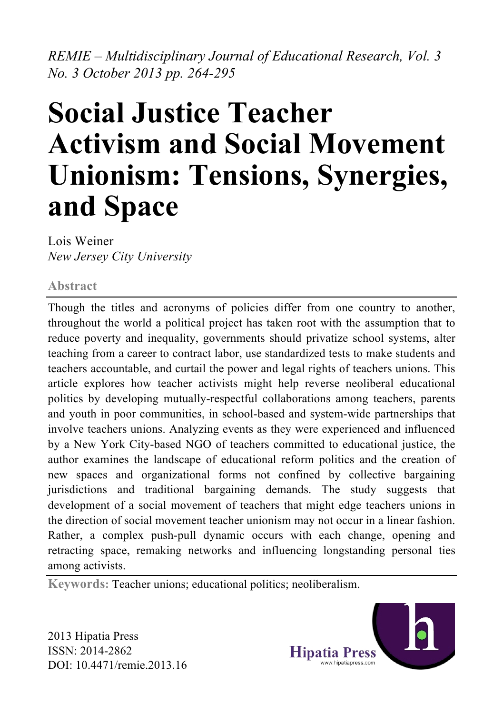*REMIE – Multidisciplinary Journal of Educational Research, Vol. 3 No. 3 October 2013 pp. 264-295*

# **Social Justice Teacher Activism and Social Movement Unionism: Tensions, Synergies, and Space**

Lois Weiner *New Jersey City University*

#### **Abstract**

Though the titles and acronyms of policies differ from one country to another, throughout the world a political project has taken root with the assumption that to reduce poverty and inequality, governments should privatize school systems, alter teaching from a career to contract labor, use standardized tests to make students and teachers accountable, and curtail the power and legal rights of teachers unions. This article explores how teacher activists might help reverse neoliberal educational politics by developing mutually-respectful collaborations among teachers, parents and youth in poor communities, in school-based and system-wide partnerships that involve teachers unions. Analyzing events as they were experienced and influenced by a New York City-based NGO of teachers committed to educational justice, the author examines the landscape of educational reform politics and the creation of new spaces and organizational forms not confined by collective bargaining jurisdictions and traditional bargaining demands. The study suggests that development of a social movement of teachers that might edge teachers unions in the direction of social movement teacher unionism may not occur in a linear fashion. Rather, a complex push-pull dynamic occurs with each change, opening and retracting space, remaking networks and influencing longstanding personal ties among activists.

**Keywords:** Teacher unions; educational politics; neoliberalism.

2013 Hipatia Press ISSN: 2014-2862 DOI: 10.4471/remie.2013.16

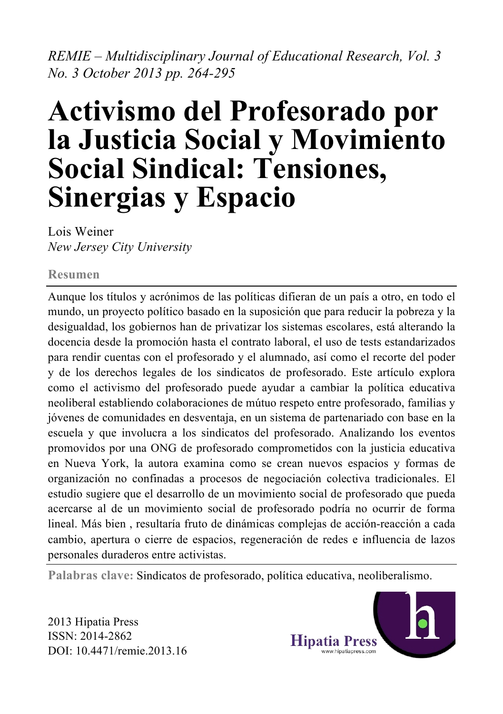*REMIE – Multidisciplinary Journal of Educational Research, Vol. 3 No. 3 October 2013 pp. 264-295*

## **Activismo del Profesorado por la Justicia Social y Movimiento Social Sindical: Tensiones, Sinergias y Espacio**

Lois Weiner *New Jersey City University*

#### **Resumen**

Aunque los títulos y acrónimos de las políticas difieran de un país a otro, en todo el mundo, un proyecto político basado en la suposición que para reducir la pobreza y la desigualdad, los gobiernos han de privatizar los sistemas escolares, está alterando la docencia desde la promoción hasta el contrato laboral, el uso de tests estandarizados para rendir cuentas con el profesorado y el alumnado, así como el recorte del poder y de los derechos legales de los sindicatos de profesorado. Este artículo explora como el activismo del profesorado puede ayudar a cambiar la política educativa neoliberal establiendo colaboraciones de mútuo respeto entre profesorado, familias y jóvenes de comunidades en desventaja, en un sistema de partenariado con base en la escuela y que involucra a los sindicatos del profesorado. Analizando los eventos promovidos por una ONG de profesorado comprometidos con la justicia educativa en Nueva York, la autora examina como se crean nuevos espacios y formas de organización no confinadas a procesos de negociación colectiva tradicionales. El estudio sugiere que el desarrollo de un movimiento social de profesorado que pueda acercarse al de un movimiento social de profesorado podría no ocurrir de forma lineal. Más bien , resultaría fruto de dinámicas complejas de acción-reacción a cada cambio, apertura o cierre de espacios, regeneración de redes e influencia de lazos personales duraderos entre activistas.

**Palabras clave:** Sindicatos de profesorado, política educativa, neoliberalismo.

2013 Hipatia Press ISSN: 2014-2862 DOI: 10.4471/remie.2013.16

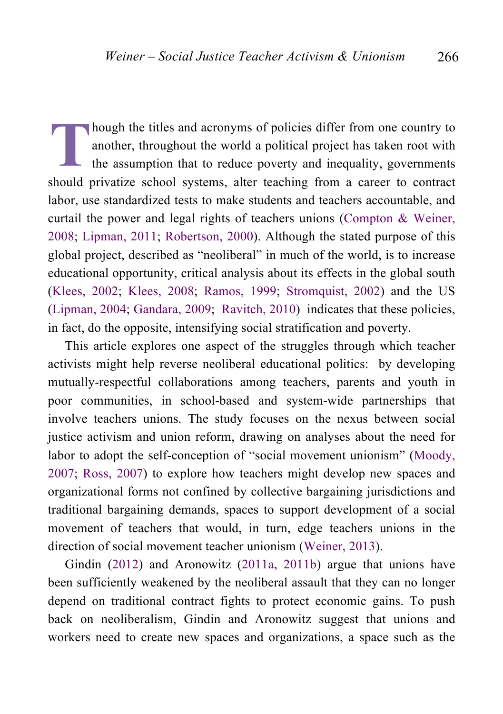hough the titles and acronyms of policies differ from one country to another, throughout the world a political project has taken root with the assumption that to reduce poverty and inequality, governments should privatize school systems, alter teaching from a career to contract labor, use standardized tests to make students and teachers accountable, and curtail the power and legal rights of teachers unions (Compton & Weiner, 2008; Lipman, 2011; Robertson, 2000). Although the stated purpose of this global project, described as "neoliberal" in much of the world, is to increase educational opportunity, critical analysis about its effects in the global south (Klees, 2002; Klees, 2008; Ramos, 1999; Stromquist, 2002) and the US (Lipman, 2004; Gandara, 2009; Ravitch, 2010) indicates that these policies, in fact, do the opposite, intensifying social stratification and poverty. **T**

This article explores one aspect of the struggles through which teacher activists might help reverse neoliberal educational politics: by developing mutually-respectful collaborations among teachers, parents and youth in poor communities, in school-based and system-wide partnerships that involve teachers unions. The study focuses on the nexus between social justice activism and union reform, drawing on analyses about the need for labor to adopt the self-conception of "social movement unionism" (Moody, 2007; Ross, 2007) to explore how teachers might develop new spaces and organizational forms not confined by collective bargaining jurisdictions and traditional bargaining demands, spaces to support development of a social movement of teachers that would, in turn, edge teachers unions in the direction of social movement teacher unionism (Weiner, 2013).

Gindin (2012) and Aronowitz (2011a, 2011b) argue that unions have been sufficiently weakened by the neoliberal assault that they can no longer depend on traditional contract fights to protect economic gains. To push back on neoliberalism, Gindin and Aronowitz suggest that unions and workers need to create new spaces and organizations, a space such as the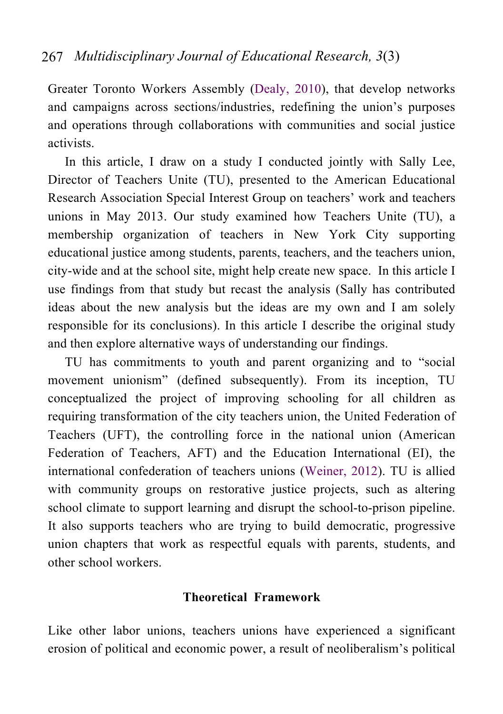Greater Toronto Workers Assembly (Dealy, 2010), that develop networks and campaigns across sections/industries, redefining the union's purposes and operations through collaborations with communities and social justice activists.

In this article, I draw on a study I conducted jointly with Sally Lee, Director of Teachers Unite (TU), presented to the American Educational Research Association Special Interest Group on teachers' work and teachers unions in May 2013. Our study examined how Teachers Unite (TU), a membership organization of teachers in New York City supporting educational justice among students, parents, teachers, and the teachers union, city-wide and at the school site, might help create new space. In this article I use findings from that study but recast the analysis (Sally has contributed ideas about the new analysis but the ideas are my own and I am solely responsible for its conclusions). In this article I describe the original study and then explore alternative ways of understanding our findings.

TU has commitments to youth and parent organizing and to "social movement unionism" (defined subsequently). From its inception, TU conceptualized the project of improving schooling for all children as requiring transformation of the city teachers union, the United Federation of Teachers (UFT), the controlling force in the national union (American Federation of Teachers, AFT) and the Education International (EI), the international confederation of teachers unions (Weiner, 2012). TU is allied with community groups on restorative justice projects, such as altering school climate to support learning and disrupt the school-to-prison pipeline. It also supports teachers who are trying to build democratic, progressive union chapters that work as respectful equals with parents, students, and other school workers.

#### **Theoretical Framework**

Like other labor unions, teachers unions have experienced a significant erosion of political and economic power, a result of neoliberalism's political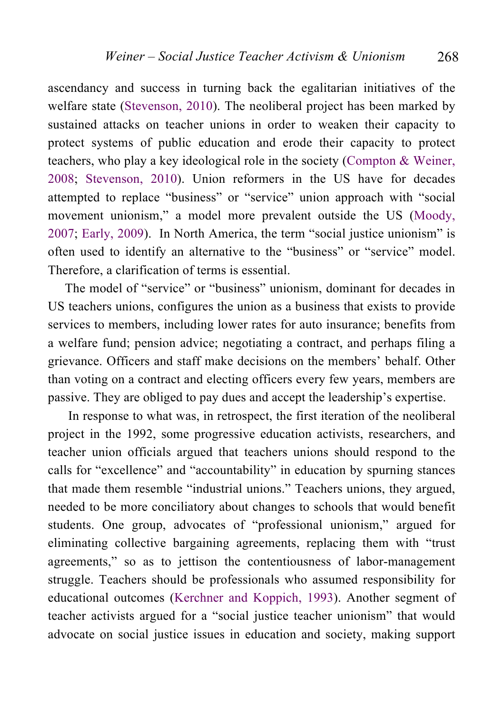ascendancy and success in turning back the egalitarian initiatives of the welfare state (Stevenson, 2010). The neoliberal project has been marked by sustained attacks on teacher unions in order to weaken their capacity to protect systems of public education and erode their capacity to protect teachers, who play a key ideological role in the society (Compton & Weiner, 2008; Stevenson, 2010). Union reformers in the US have for decades attempted to replace "business" or "service" union approach with "social movement unionism," a model more prevalent outside the US (Moody, 2007; Early, 2009). In North America, the term "social justice unionism" is often used to identify an alternative to the "business" or "service" model. Therefore, a clarification of terms is essential.

The model of "service" or "business" unionism, dominant for decades in US teachers unions, configures the union as a business that exists to provide services to members, including lower rates for auto insurance; benefits from a welfare fund; pension advice; negotiating a contract, and perhaps filing a grievance. Officers and staff make decisions on the members' behalf. Other than voting on a contract and electing officers every few years, members are passive. They are obliged to pay dues and accept the leadership's expertise.

 In response to what was, in retrospect, the first iteration of the neoliberal project in the 1992, some progressive education activists, researchers, and teacher union officials argued that teachers unions should respond to the calls for "excellence" and "accountability" in education by spurning stances that made them resemble "industrial unions." Teachers unions, they argued, needed to be more conciliatory about changes to schools that would benefit students. One group, advocates of "professional unionism," argued for eliminating collective bargaining agreements, replacing them with "trust agreements," so as to jettison the contentiousness of labor-management struggle. Teachers should be professionals who assumed responsibility for educational outcomes (Kerchner and Koppich, 1993). Another segment of teacher activists argued for a "social justice teacher unionism" that would advocate on social justice issues in education and society, making support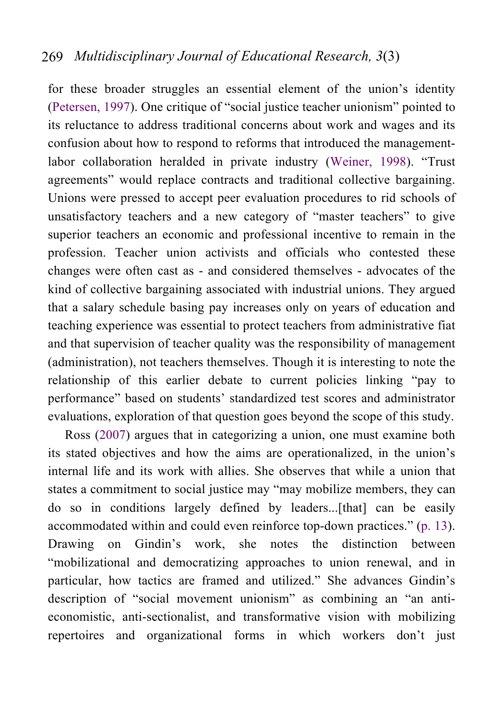for these broader struggles an essential element of the union's identity (Petersen, 1997). One critique of "social justice teacher unionism" pointed to its reluctance to address traditional concerns about work and wages and its confusion about how to respond to reforms that introduced the managementlabor collaboration heralded in private industry (Weiner, 1998). "Trust agreements" would replace contracts and traditional collective bargaining. Unions were pressed to accept peer evaluation procedures to rid schools of unsatisfactory teachers and a new category of "master teachers" to give superior teachers an economic and professional incentive to remain in the profession. Teacher union activists and officials who contested these changes were often cast as - and considered themselves - advocates of the kind of collective bargaining associated with industrial unions. They argued that a salary schedule basing pay increases only on years of education and teaching experience was essential to protect teachers from administrative fiat and that supervision of teacher quality was the responsibility of management (administration), not teachers themselves. Though it is interesting to note the relationship of this earlier debate to current policies linking "pay to performance" based on students' standardized test scores and administrator evaluations, exploration of that question goes beyond the scope of this study.

Ross (2007) argues that in categorizing a union, one must examine both its stated objectives and how the aims are operationalized, in the union's internal life and its work with allies. She observes that while a union that states a commitment to social justice may "may mobilize members, they can do so in conditions largely defined by leaders...[that] can be easily accommodated within and could even reinforce top-down practices." (p. 13). Drawing on Gindin's work, she notes the distinction between "mobilizational and democratizing approaches to union renewal, and in particular, how tactics are framed and utilized." She advances Gindin's description of "social movement unionism" as combining an "an antieconomistic, anti-sectionalist, and transformative vision with mobilizing repertoires and organizational forms in which workers don't just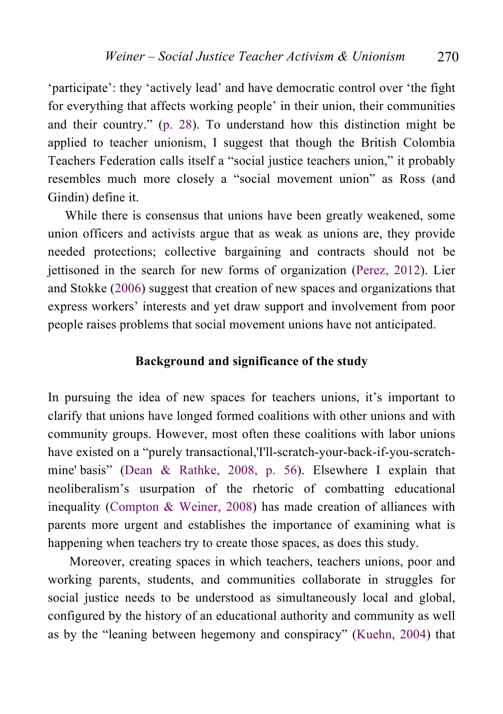'participate': they 'actively lead' and have democratic control over 'the fight for everything that affects working people' in their union, their communities and their country." (p. 28). To understand how this distinction might be applied to teacher unionism, I suggest that though the British Colombia Teachers Federation calls itself a "social justice teachers union," it probably resembles much more closely a "social movement union" as Ross (and Gindin) define it.

While there is consensus that unions have been greatly weakened, some union officers and activists argue that as weak as unions are, they provide needed protections; collective bargaining and contracts should not be jettisoned in the search for new forms of organization (Perez, 2012). Lier and Stokke (2006) suggest that creation of new spaces and organizations that express workers' interests and yet draw support and involvement from poor people raises problems that social movement unions have not anticipated.

#### **Background and significance of the study**

In pursuing the idea of new spaces for teachers unions, it's important to clarify that unions have longed formed coalitions with other unions and with community groups. However, most often these coalitions with labor unions have existed on a "purely transactional,'I'll-scratch-your-back-if-you-scratchmine' basis" (Dean & Rathke, 2008, p. 56). Elsewhere I explain that neoliberalism's usurpation of the rhetoric of combatting educational inequality (Compton & Weiner, 2008) has made creation of alliances with parents more urgent and establishes the importance of examining what is happening when teachers try to create those spaces, as does this study.

Moreover, creating spaces in which teachers, teachers unions, poor and working parents, students, and communities collaborate in struggles for social justice needs to be understood as simultaneously local and global, configured by the history of an educational authority and community as well as by the "leaning between hegemony and conspiracy" (Kuehn, 2004) that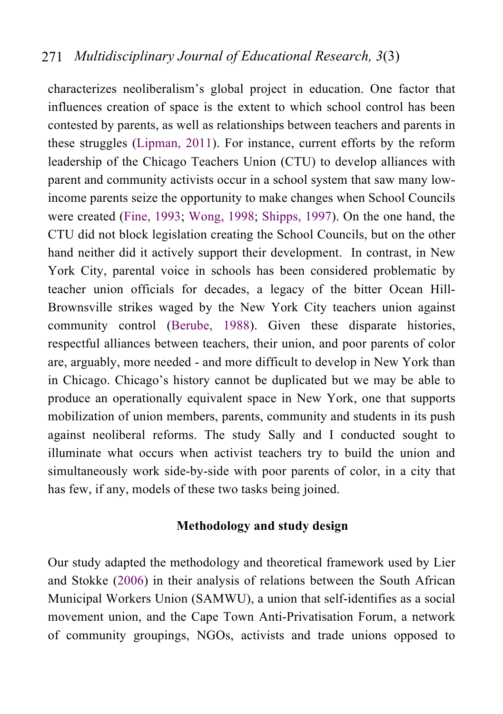characterizes neoliberalism's global project in education. One factor that influences creation of space is the extent to which school control has been contested by parents, as well as relationships between teachers and parents in these struggles (Lipman, 2011). For instance, current efforts by the reform leadership of the Chicago Teachers Union (CTU) to develop alliances with parent and community activists occur in a school system that saw many lowincome parents seize the opportunity to make changes when School Councils were created (Fine, 1993; Wong, 1998; Shipps, 1997). On the one hand, the CTU did not block legislation creating the School Councils, but on the other hand neither did it actively support their development. In contrast, in New York City, parental voice in schools has been considered problematic by teacher union officials for decades, a legacy of the bitter Ocean Hill-Brownsville strikes waged by the New York City teachers union against community control (Berube, 1988). Given these disparate histories, respectful alliances between teachers, their union, and poor parents of color are, arguably, more needed - and more difficult to develop in New York than in Chicago. Chicago's history cannot be duplicated but we may be able to produce an operationally equivalent space in New York, one that supports mobilization of union members, parents, community and students in its push against neoliberal reforms. The study Sally and I conducted sought to illuminate what occurs when activist teachers try to build the union and simultaneously work side-by-side with poor parents of color, in a city that has few, if any, models of these two tasks being joined.

#### **Methodology and study design**

Our study adapted the methodology and theoretical framework used by Lier and Stokke (2006) in their analysis of relations between the South African Municipal Workers Union (SAMWU), a union that self-identifies as a social movement union, and the Cape Town Anti-Privatisation Forum, a network of community groupings, NGOs, activists and trade unions opposed to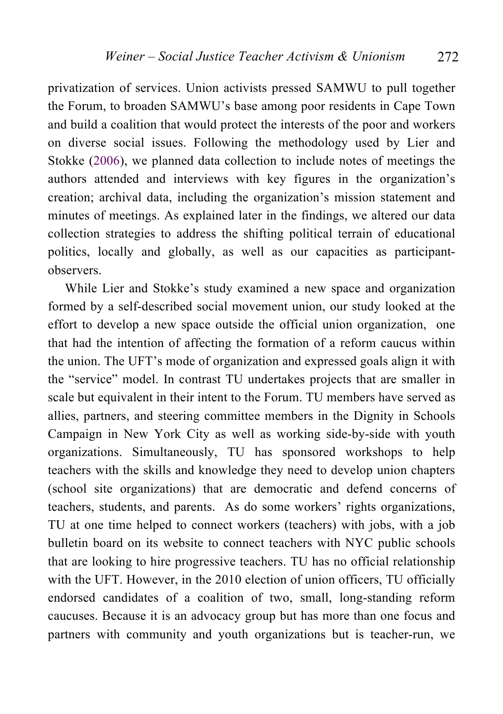privatization of services. Union activists pressed SAMWU to pull together the Forum, to broaden SAMWU's base among poor residents in Cape Town and build a coalition that would protect the interests of the poor and workers on diverse social issues. Following the methodology used by Lier and Stokke (2006), we planned data collection to include notes of meetings the authors attended and interviews with key figures in the organization's creation; archival data, including the organization's mission statement and minutes of meetings. As explained later in the findings, we altered our data collection strategies to address the shifting political terrain of educational politics, locally and globally, as well as our capacities as participantobservers.

While Lier and Stokke's study examined a new space and organization formed by a self-described social movement union, our study looked at the effort to develop a new space outside the official union organization, one that had the intention of affecting the formation of a reform caucus within the union. The UFT's mode of organization and expressed goals align it with the "service" model. In contrast TU undertakes projects that are smaller in scale but equivalent in their intent to the Forum. TU members have served as allies, partners, and steering committee members in the Dignity in Schools Campaign in New York City as well as working side-by-side with youth organizations. Simultaneously, TU has sponsored workshops to help teachers with the skills and knowledge they need to develop union chapters (school site organizations) that are democratic and defend concerns of teachers, students, and parents. As do some workers' rights organizations, TU at one time helped to connect workers (teachers) with jobs, with a job bulletin board on its website to connect teachers with NYC public schools that are looking to hire progressive teachers. TU has no official relationship with the UFT. However, in the 2010 election of union officers, TU officially endorsed candidates of a coalition of two, small, long-standing reform caucuses. Because it is an advocacy group but has more than one focus and partners with community and youth organizations but is teacher-run, we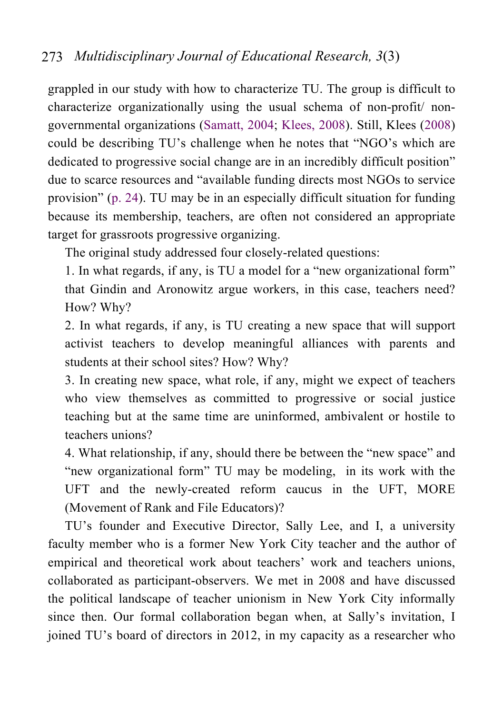grappled in our study with how to characterize TU. The group is difficult to characterize organizationally using the usual schema of non-profit/ nongovernmental organizations (Samatt, 2004; Klees, 2008). Still, Klees (2008) could be describing TU's challenge when he notes that "NGO's which are dedicated to progressive social change are in an incredibly difficult position" due to scarce resources and "available funding directs most NGOs to service provision" (p. 24). TU may be in an especially difficult situation for funding because its membership, teachers, are often not considered an appropriate target for grassroots progressive organizing.

The original study addressed four closely-related questions:

1. In what regards, if any, is TU a model for a "new organizational form" that Gindin and Aronowitz argue workers, in this case, teachers need? How? Why?

2. In what regards, if any, is TU creating a new space that will support activist teachers to develop meaningful alliances with parents and students at their school sites? How? Why?

3. In creating new space, what role, if any, might we expect of teachers who view themselves as committed to progressive or social justice teaching but at the same time are uninformed, ambivalent or hostile to teachers unions?

4. What relationship, if any, should there be between the "new space" and "new organizational form" TU may be modeling, in its work with the UFT and the newly-created reform caucus in the UFT, MORE (Movement of Rank and File Educators)?

TU's founder and Executive Director, Sally Lee, and I, a university faculty member who is a former New York City teacher and the author of empirical and theoretical work about teachers' work and teachers unions, collaborated as participant-observers. We met in 2008 and have discussed the political landscape of teacher unionism in New York City informally since then. Our formal collaboration began when, at Sally's invitation, I joined TU's board of directors in 2012, in my capacity as a researcher who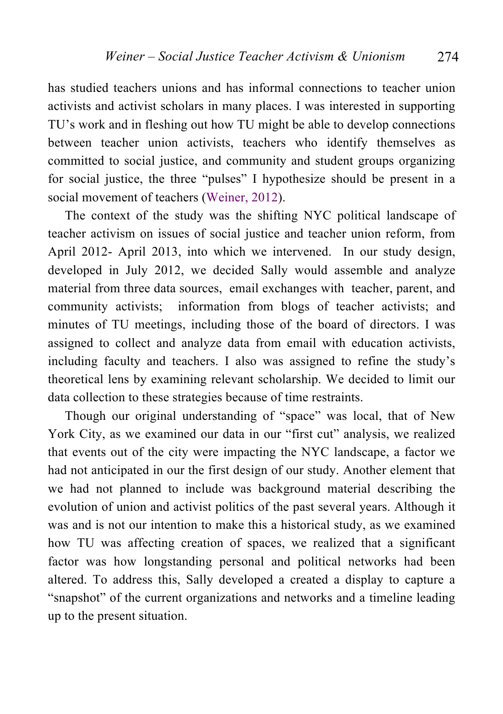has studied teachers unions and has informal connections to teacher union activists and activist scholars in many places. I was interested in supporting TU's work and in fleshing out how TU might be able to develop connections between teacher union activists, teachers who identify themselves as committed to social justice, and community and student groups organizing for social justice, the three "pulses" I hypothesize should be present in a social movement of teachers (Weiner, 2012).

The context of the study was the shifting NYC political landscape of teacher activism on issues of social justice and teacher union reform, from April 2012- April 2013, into which we intervened. In our study design, developed in July 2012, we decided Sally would assemble and analyze material from three data sources, email exchanges with teacher, parent, and community activists; information from blogs of teacher activists; and minutes of TU meetings, including those of the board of directors. I was assigned to collect and analyze data from email with education activists, including faculty and teachers. I also was assigned to refine the study's theoretical lens by examining relevant scholarship. We decided to limit our data collection to these strategies because of time restraints.

Though our original understanding of "space" was local, that of New York City, as we examined our data in our "first cut" analysis, we realized that events out of the city were impacting the NYC landscape, a factor we had not anticipated in our the first design of our study. Another element that we had not planned to include was background material describing the evolution of union and activist politics of the past several years. Although it was and is not our intention to make this a historical study, as we examined how TU was affecting creation of spaces, we realized that a significant factor was how longstanding personal and political networks had been altered. To address this, Sally developed a created a display to capture a "snapshot" of the current organizations and networks and a timeline leading up to the present situation.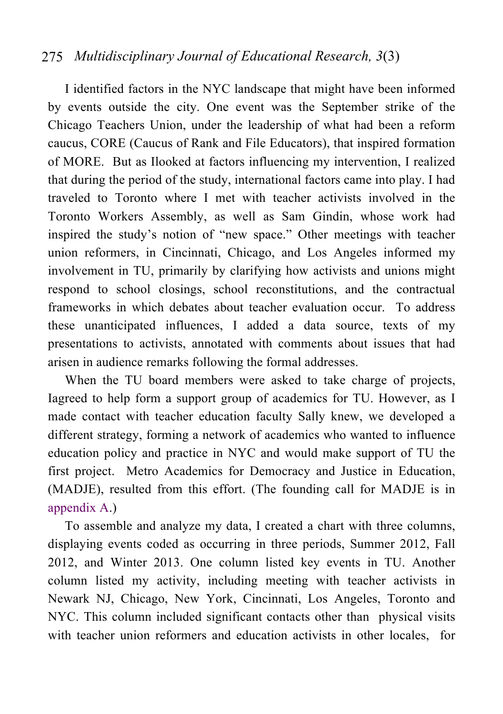I identified factors in the NYC landscape that might have been informed by events outside the city. One event was the September strike of the Chicago Teachers Union, under the leadership of what had been a reform caucus, CORE (Caucus of Rank and File Educators), that inspired formation of MORE. But as Ilooked at factors influencing my intervention, I realized that during the period of the study, international factors came into play. I had traveled to Toronto where I met with teacher activists involved in the Toronto Workers Assembly, as well as Sam Gindin, whose work had inspired the study's notion of "new space." Other meetings with teacher union reformers, in Cincinnati, Chicago, and Los Angeles informed my involvement in TU, primarily by clarifying how activists and unions might respond to school closings, school reconstitutions, and the contractual frameworks in which debates about teacher evaluation occur. To address these unanticipated influences, I added a data source, texts of my presentations to activists, annotated with comments about issues that had arisen in audience remarks following the formal addresses.

When the TU board members were asked to take charge of projects, Iagreed to help form a support group of academics for TU. However, as I made contact with teacher education faculty Sally knew, we developed a different strategy, forming a network of academics who wanted to influence education policy and practice in NYC and would make support of TU the first project. Metro Academics for Democracy and Justice in Education, (MADJE), resulted from this effort. (The founding call for MADJE is in appendix A.)

To assemble and analyze my data, I created a chart with three columns, displaying events coded as occurring in three periods, Summer 2012, Fall 2012, and Winter 2013. One column listed key events in TU. Another column listed my activity, including meeting with teacher activists in Newark NJ, Chicago, New York, Cincinnati, Los Angeles, Toronto and NYC. This column included significant contacts other than physical visits with teacher union reformers and education activists in other locales, for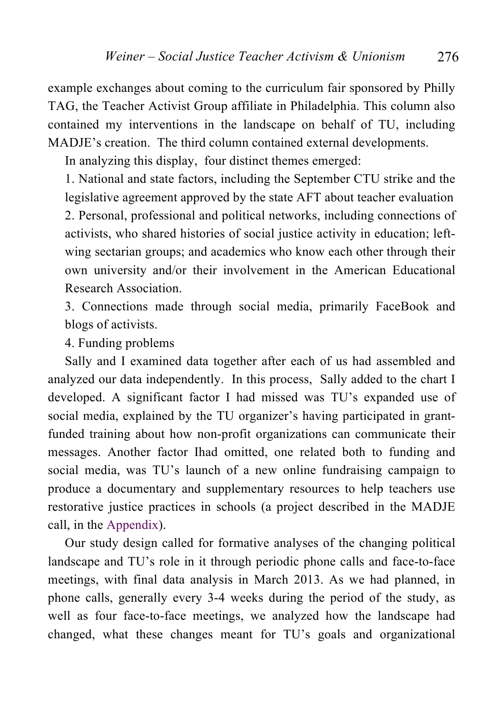example exchanges about coming to the curriculum fair sponsored by Philly TAG, the Teacher Activist Group affiliate in Philadelphia. This column also contained my interventions in the landscape on behalf of TU, including MADJE's creation. The third column contained external developments.

In analyzing this display, four distinct themes emerged:

1. National and state factors, including the September CTU strike and the legislative agreement approved by the state AFT about teacher evaluation 2. Personal, professional and political networks, including connections of activists, who shared histories of social justice activity in education; leftwing sectarian groups; and academics who know each other through their own university and/or their involvement in the American Educational Research Association.

3. Connections made through social media, primarily FaceBook and blogs of activists.

4. Funding problems

Sally and I examined data together after each of us had assembled and analyzed our data independently. In this process, Sally added to the chart I developed. A significant factor I had missed was TU's expanded use of social media, explained by the TU organizer's having participated in grantfunded training about how non-profit organizations can communicate their messages. Another factor Ihad omitted, one related both to funding and social media, was TU's launch of a new online fundraising campaign to produce a documentary and supplementary resources to help teachers use restorative justice practices in schools (a project described in the MADJE call, in the Appendix).

Our study design called for formative analyses of the changing political landscape and TU's role in it through periodic phone calls and face-to-face meetings, with final data analysis in March 2013. As we had planned, in phone calls, generally every 3-4 weeks during the period of the study, as well as four face-to-face meetings, we analyzed how the landscape had changed, what these changes meant for TU's goals and organizational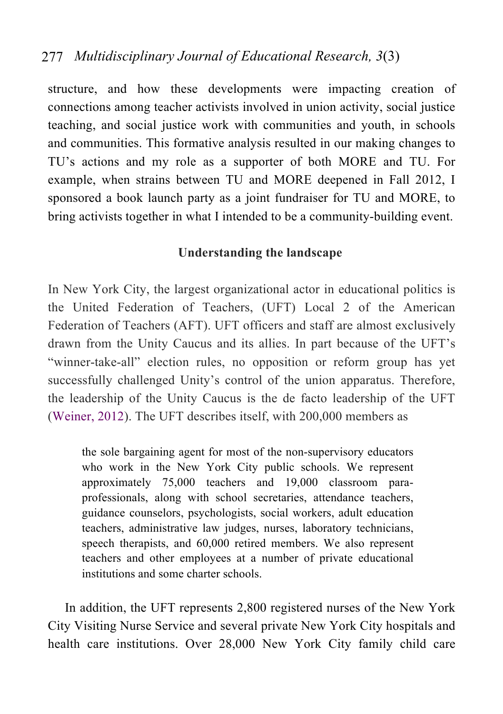structure, and how these developments were impacting creation of connections among teacher activists involved in union activity, social justice teaching, and social justice work with communities and youth, in schools and communities. This formative analysis resulted in our making changes to TU's actions and my role as a supporter of both MORE and TU. For example, when strains between TU and MORE deepened in Fall 2012, I sponsored a book launch party as a joint fundraiser for TU and MORE, to bring activists together in what I intended to be a community-building event.

#### **Understanding the landscape**

In New York City, the largest organizational actor in educational politics is the United Federation of Teachers, (UFT) Local 2 of the American Federation of Teachers (AFT). UFT officers and staff are almost exclusively drawn from the Unity Caucus and its allies. In part because of the UFT's "winner-take-all" election rules, no opposition or reform group has yet successfully challenged Unity's control of the union apparatus. Therefore, the leadership of the Unity Caucus is the de facto leadership of the UFT (Weiner, 2012). The UFT describes itself, with 200,000 members as

the sole bargaining agent for most of the non-supervisory educators who work in the New York City public schools. We represent approximately 75,000 teachers and 19,000 classroom paraprofessionals, along with school secretaries, attendance teachers, guidance counselors, psychologists, social workers, adult education teachers, administrative law judges, nurses, laboratory technicians, speech therapists, and 60,000 retired members. We also represent teachers and other employees at a number of private educational institutions and some charter schools.

In addition, the UFT represents 2,800 registered nurses of the New York City Visiting Nurse Service and several private New York City hospitals and health care institutions. Over 28,000 New York City family child care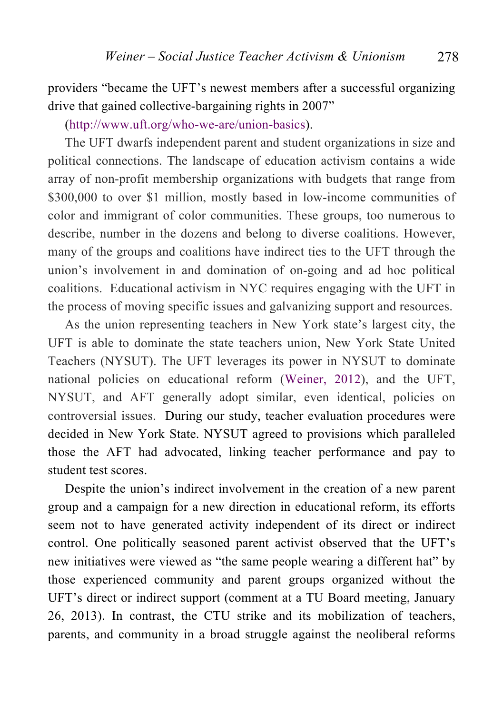providers "became the UFT's newest members after a successful organizing drive that gained collective-bargaining rights in 2007"

(http://www.uft.org/who-we-are/union-basics).

The UFT dwarfs independent parent and student organizations in size and political connections. The landscape of education activism contains a wide array of non-profit membership organizations with budgets that range from \$300,000 to over \$1 million, mostly based in low-income communities of color and immigrant of color communities. These groups, too numerous to describe, number in the dozens and belong to diverse coalitions. However, many of the groups and coalitions have indirect ties to the UFT through the union's involvement in and domination of on-going and ad hoc political coalitions. Educational activism in NYC requires engaging with the UFT in the process of moving specific issues and galvanizing support and resources.

As the union representing teachers in New York state's largest city, the UFT is able to dominate the state teachers union, New York State United Teachers (NYSUT). The UFT leverages its power in NYSUT to dominate national policies on educational reform (Weiner, 2012), and the UFT, NYSUT, and AFT generally adopt similar, even identical, policies on controversial issues. During our study, teacher evaluation procedures were decided in New York State. NYSUT agreed to provisions which paralleled those the AFT had advocated, linking teacher performance and pay to student test scores.

Despite the union's indirect involvement in the creation of a new parent group and a campaign for a new direction in educational reform, its efforts seem not to have generated activity independent of its direct or indirect control. One politically seasoned parent activist observed that the UFT's new initiatives were viewed as "the same people wearing a different hat" by those experienced community and parent groups organized without the UFT's direct or indirect support (comment at a TU Board meeting, January 26, 2013). In contrast, the CTU strike and its mobilization of teachers, parents, and community in a broad struggle against the neoliberal reforms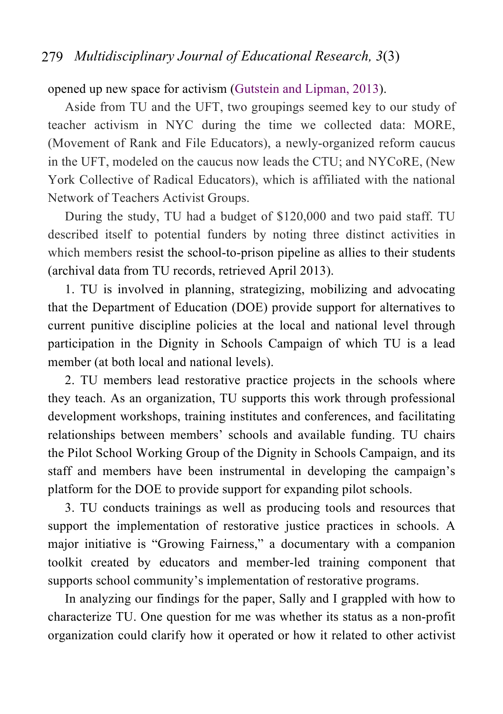#### opened up new space for activism (Gutstein and Lipman, 2013).

Aside from TU and the UFT, two groupings seemed key to our study of teacher activism in NYC during the time we collected data: MORE, (Movement of Rank and File Educators), a newly-organized reform caucus in the UFT, modeled on the caucus now leads the CTU; and NYCoRE, (New York Collective of Radical Educators), which is affiliated with the national Network of Teachers Activist Groups.

During the study, TU had a budget of \$120,000 and two paid staff. TU described itself to potential funders by noting three distinct activities in which members resist the school-to-prison pipeline as allies to their students (archival data from TU records, retrieved April 2013).

1. TU is involved in planning, strategizing, mobilizing and advocating that the Department of Education (DOE) provide support for alternatives to current punitive discipline policies at the local and national level through participation in the Dignity in Schools Campaign of which TU is a lead member (at both local and national levels).

2. TU members lead restorative practice projects in the schools where they teach. As an organization, TU supports this work through professional development workshops, training institutes and conferences, and facilitating relationships between members' schools and available funding. TU chairs the Pilot School Working Group of the Dignity in Schools Campaign, and its staff and members have been instrumental in developing the campaign's platform for the DOE to provide support for expanding pilot schools.

3. TU conducts trainings as well as producing tools and resources that support the implementation of restorative justice practices in schools. A major initiative is "Growing Fairness," a documentary with a companion toolkit created by educators and member-led training component that supports school community's implementation of restorative programs.

In analyzing our findings for the paper, Sally and I grappled with how to characterize TU. One question for me was whether its status as a non-profit organization could clarify how it operated or how it related to other activist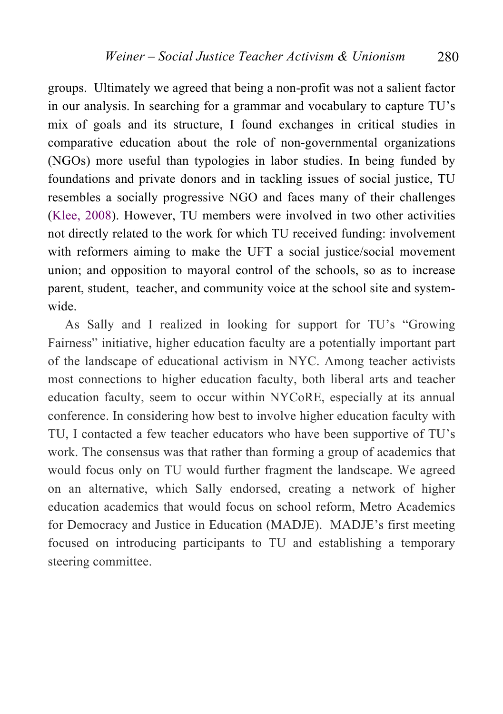groups. Ultimately we agreed that being a non-profit was not a salient factor in our analysis. In searching for a grammar and vocabulary to capture TU's mix of goals and its structure, I found exchanges in critical studies in comparative education about the role of non-governmental organizations (NGOs) more useful than typologies in labor studies. In being funded by foundations and private donors and in tackling issues of social justice, TU resembles a socially progressive NGO and faces many of their challenges (Klee, 2008). However, TU members were involved in two other activities not directly related to the work for which TU received funding: involvement with reformers aiming to make the UFT a social justice/social movement union; and opposition to mayoral control of the schools, so as to increase parent, student, teacher, and community voice at the school site and systemwide.

As Sally and I realized in looking for support for TU's "Growing Fairness" initiative, higher education faculty are a potentially important part of the landscape of educational activism in NYC. Among teacher activists most connections to higher education faculty, both liberal arts and teacher education faculty, seem to occur within NYCoRE, especially at its annual conference. In considering how best to involve higher education faculty with TU, I contacted a few teacher educators who have been supportive of TU's work. The consensus was that rather than forming a group of academics that would focus only on TU would further fragment the landscape. We agreed on an alternative, which Sally endorsed, creating a network of higher education academics that would focus on school reform, Metro Academics for Democracy and Justice in Education (MADJE). MADJE's first meeting focused on introducing participants to TU and establishing a temporary steering committee.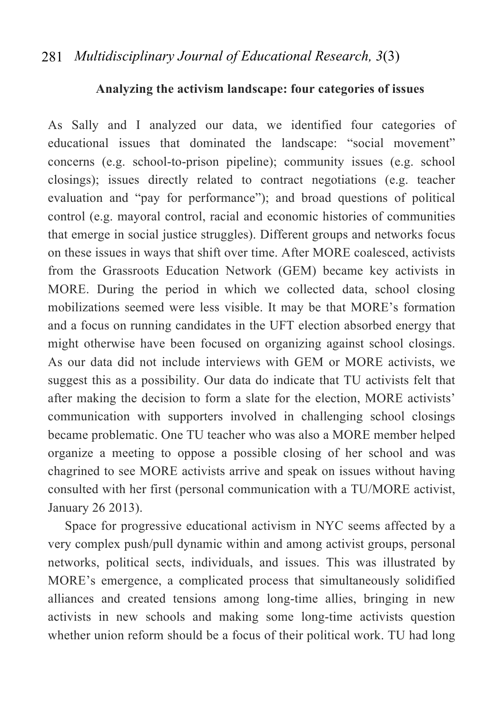#### **Analyzing the activism landscape: four categories of issues**

As Sally and I analyzed our data, we identified four categories of educational issues that dominated the landscape: "social movement" concerns (e.g. school-to-prison pipeline); community issues (e.g. school closings); issues directly related to contract negotiations (e.g. teacher evaluation and "pay for performance"); and broad questions of political control (e.g. mayoral control, racial and economic histories of communities that emerge in social justice struggles). Different groups and networks focus on these issues in ways that shift over time. After MORE coalesced, activists from the Grassroots Education Network (GEM) became key activists in MORE. During the period in which we collected data, school closing mobilizations seemed were less visible. It may be that MORE's formation and a focus on running candidates in the UFT election absorbed energy that might otherwise have been focused on organizing against school closings. As our data did not include interviews with GEM or MORE activists, we suggest this as a possibility. Our data do indicate that TU activists felt that after making the decision to form a slate for the election, MORE activists' communication with supporters involved in challenging school closings became problematic. One TU teacher who was also a MORE member helped organize a meeting to oppose a possible closing of her school and was chagrined to see MORE activists arrive and speak on issues without having consulted with her first (personal communication with a TU/MORE activist, January 26 2013).

Space for progressive educational activism in NYC seems affected by a very complex push/pull dynamic within and among activist groups, personal networks, political sects, individuals, and issues. This was illustrated by MORE's emergence, a complicated process that simultaneously solidified alliances and created tensions among long-time allies, bringing in new activists in new schools and making some long-time activists question whether union reform should be a focus of their political work. TU had long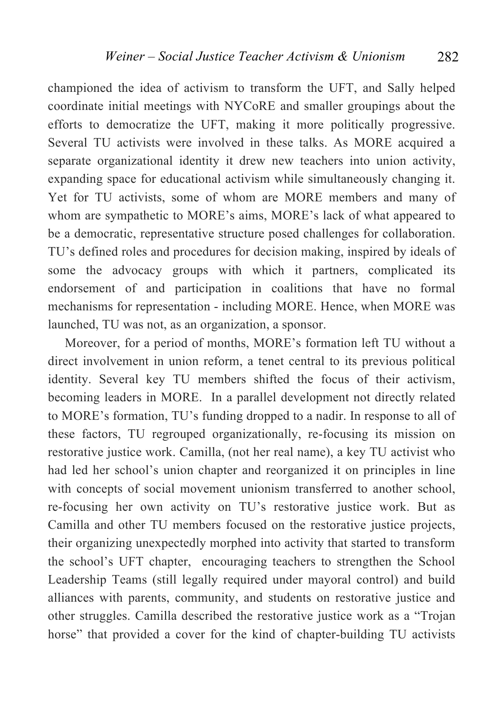championed the idea of activism to transform the UFT, and Sally helped coordinate initial meetings with NYCoRE and smaller groupings about the efforts to democratize the UFT, making it more politically progressive. Several TU activists were involved in these talks. As MORE acquired a separate organizational identity it drew new teachers into union activity, expanding space for educational activism while simultaneously changing it. Yet for TU activists, some of whom are MORE members and many of whom are sympathetic to MORE's aims, MORE's lack of what appeared to be a democratic, representative structure posed challenges for collaboration. TU's defined roles and procedures for decision making, inspired by ideals of some the advocacy groups with which it partners, complicated its endorsement of and participation in coalitions that have no formal mechanisms for representation - including MORE. Hence, when MORE was launched, TU was not, as an organization, a sponsor.

Moreover, for a period of months, MORE's formation left TU without a direct involvement in union reform, a tenet central to its previous political identity. Several key TU members shifted the focus of their activism, becoming leaders in MORE. In a parallel development not directly related to MORE's formation, TU's funding dropped to a nadir. In response to all of these factors, TU regrouped organizationally, re-focusing its mission on restorative justice work. Camilla, (not her real name), a key TU activist who had led her school's union chapter and reorganized it on principles in line with concepts of social movement unionism transferred to another school, re-focusing her own activity on TU's restorative justice work. But as Camilla and other TU members focused on the restorative justice projects, their organizing unexpectedly morphed into activity that started to transform the school's UFT chapter, encouraging teachers to strengthen the School Leadership Teams (still legally required under mayoral control) and build alliances with parents, community, and students on restorative justice and other struggles. Camilla described the restorative justice work as a "Trojan horse" that provided a cover for the kind of chapter-building TU activists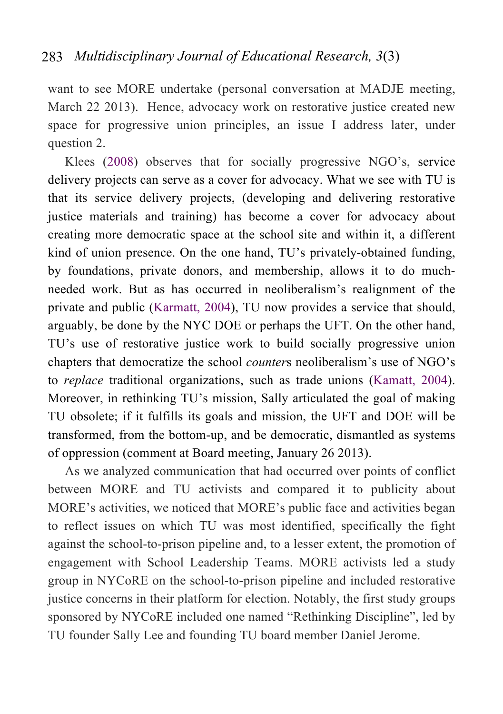want to see MORE undertake (personal conversation at MADJE meeting, March 22 2013). Hence, advocacy work on restorative justice created new space for progressive union principles, an issue I address later, under question 2.

Klees (2008) observes that for socially progressive NGO's, service delivery projects can serve as a cover for advocacy. What we see with TU is that its service delivery projects, (developing and delivering restorative justice materials and training) has become a cover for advocacy about creating more democratic space at the school site and within it, a different kind of union presence. On the one hand, TU's privately-obtained funding, by foundations, private donors, and membership, allows it to do muchneeded work. But as has occurred in neoliberalism's realignment of the private and public (Karmatt, 2004), TU now provides a service that should, arguably, be done by the NYC DOE or perhaps the UFT. On the other hand, TU's use of restorative justice work to build socially progressive union chapters that democratize the school *counter*s neoliberalism's use of NGO's to *replace* traditional organizations, such as trade unions (Kamatt, 2004). Moreover, in rethinking TU's mission, Sally articulated the goal of making TU obsolete; if it fulfills its goals and mission, the UFT and DOE will be transformed, from the bottom-up, and be democratic, dismantled as systems of oppression (comment at Board meeting, January 26 2013).

As we analyzed communication that had occurred over points of conflict between MORE and TU activists and compared it to publicity about MORE's activities, we noticed that MORE's public face and activities began to reflect issues on which TU was most identified, specifically the fight against the school-to-prison pipeline and, to a lesser extent, the promotion of engagement with School Leadership Teams. MORE activists led a study group in NYCoRE on the school-to-prison pipeline and included restorative justice concerns in their platform for election. Notably, the first study groups sponsored by NYCoRE included one named "Rethinking Discipline", led by TU founder Sally Lee and founding TU board member Daniel Jerome.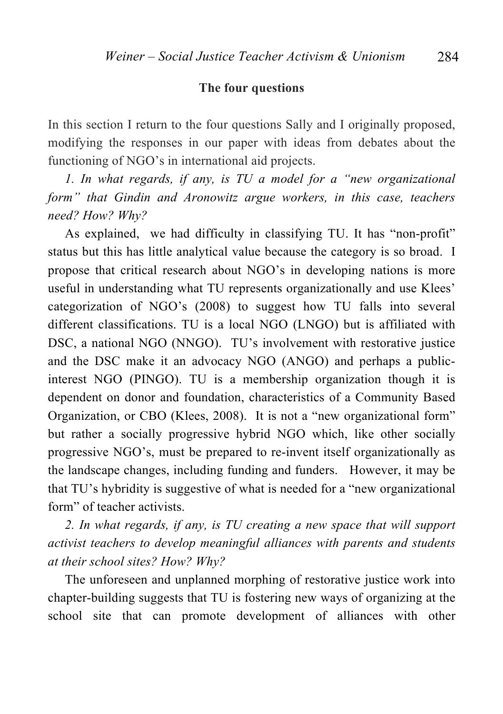#### **The four questions**

In this section I return to the four questions Sally and I originally proposed, modifying the responses in our paper with ideas from debates about the functioning of NGO's in international aid projects.

*1. In what regards, if any, is TU a model for a "new organizational form" that Gindin and Aronowitz argue workers, in this case, teachers need? How? Why?*

As explained, we had difficulty in classifying TU. It has "non-profit" status but this has little analytical value because the category is so broad. I propose that critical research about NGO's in developing nations is more useful in understanding what TU represents organizationally and use Klees' categorization of NGO's (2008) to suggest how TU falls into several different classifications. TU is a local NGO (LNGO) but is affiliated with DSC, a national NGO (NNGO). TU's involvement with restorative justice and the DSC make it an advocacy NGO (ANGO) and perhaps a publicinterest NGO (PINGO). TU is a membership organization though it is dependent on donor and foundation, characteristics of a Community Based Organization, or CBO (Klees, 2008). It is not a "new organizational form" but rather a socially progressive hybrid NGO which, like other socially progressive NGO's, must be prepared to re-invent itself organizationally as the landscape changes, including funding and funders. However, it may be that TU's hybridity is suggestive of what is needed for a "new organizational form" of teacher activists.

*2. In what regards, if any, is TU creating a new space that will support activist teachers to develop meaningful alliances with parents and students at their school sites? How? Why?*

The unforeseen and unplanned morphing of restorative justice work into chapter-building suggests that TU is fostering new ways of organizing at the school site that can promote development of alliances with other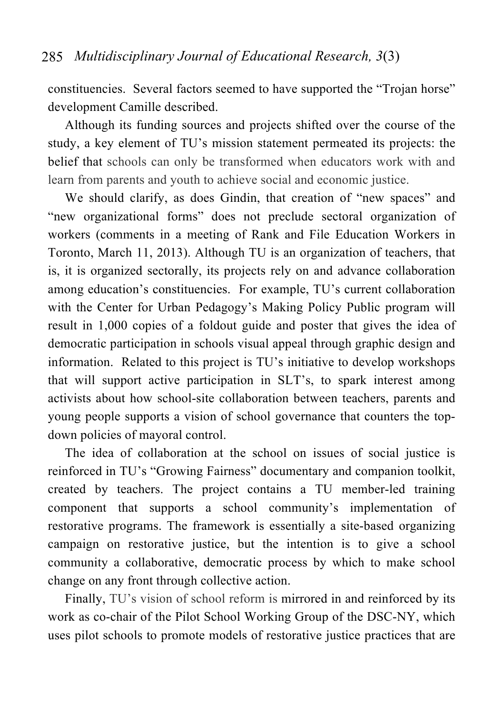constituencies. Several factors seemed to have supported the "Trojan horse" development Camille described.

Although its funding sources and projects shifted over the course of the study, a key element of TU's mission statement permeated its projects: the belief that schools can only be transformed when educators work with and learn from parents and youth to achieve social and economic justice.

We should clarify, as does Gindin, that creation of "new spaces" and "new organizational forms" does not preclude sectoral organization of workers (comments in a meeting of Rank and File Education Workers in Toronto, March 11, 2013). Although TU is an organization of teachers, that is, it is organized sectorally, its projects rely on and advance collaboration among education's constituencies. For example, TU's current collaboration with the Center for Urban Pedagogy's Making Policy Public program will result in 1,000 copies of a foldout guide and poster that gives the idea of democratic participation in schools visual appeal through graphic design and information. Related to this project is TU's initiative to develop workshops that will support active participation in SLT's, to spark interest among activists about how school-site collaboration between teachers, parents and young people supports a vision of school governance that counters the topdown policies of mayoral control.

The idea of collaboration at the school on issues of social justice is reinforced in TU's "Growing Fairness" documentary and companion toolkit, created by teachers. The project contains a TU member-led training component that supports a school community's implementation of restorative programs. The framework is essentially a site-based organizing campaign on restorative justice, but the intention is to give a school community a collaborative, democratic process by which to make school change on any front through collective action.

Finally, TU's vision of school reform is mirrored in and reinforced by its work as co-chair of the Pilot School Working Group of the DSC-NY, which uses pilot schools to promote models of restorative justice practices that are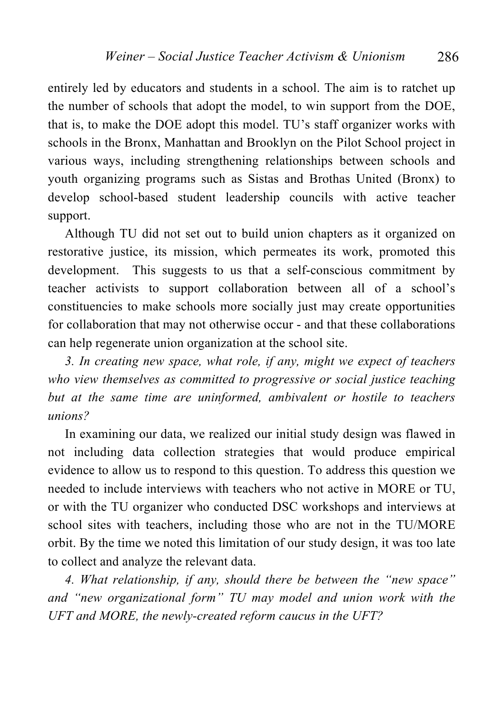entirely led by educators and students in a school. The aim is to ratchet up the number of schools that adopt the model, to win support from the DOE, that is, to make the DOE adopt this model. TU's staff organizer works with schools in the Bronx, Manhattan and Brooklyn on the Pilot School project in various ways, including strengthening relationships between schools and youth organizing programs such as Sistas and Brothas United (Bronx) to develop school-based student leadership councils with active teacher support.

Although TU did not set out to build union chapters as it organized on restorative justice, its mission, which permeates its work, promoted this development. This suggests to us that a self-conscious commitment by teacher activists to support collaboration between all of a school's constituencies to make schools more socially just may create opportunities for collaboration that may not otherwise occur - and that these collaborations can help regenerate union organization at the school site.

*3. In creating new space, what role, if any, might we expect of teachers who view themselves as committed to progressive or social justice teaching but at the same time are uninformed, ambivalent or hostile to teachers unions?* 

In examining our data, we realized our initial study design was flawed in not including data collection strategies that would produce empirical evidence to allow us to respond to this question. To address this question we needed to include interviews with teachers who not active in MORE or TU, or with the TU organizer who conducted DSC workshops and interviews at school sites with teachers, including those who are not in the TU/MORE orbit. By the time we noted this limitation of our study design, it was too late to collect and analyze the relevant data.

*4. What relationship, if any, should there be between the "new space" and "new organizational form" TU may model and union work with the UFT and MORE, the newly-created reform caucus in the UFT?*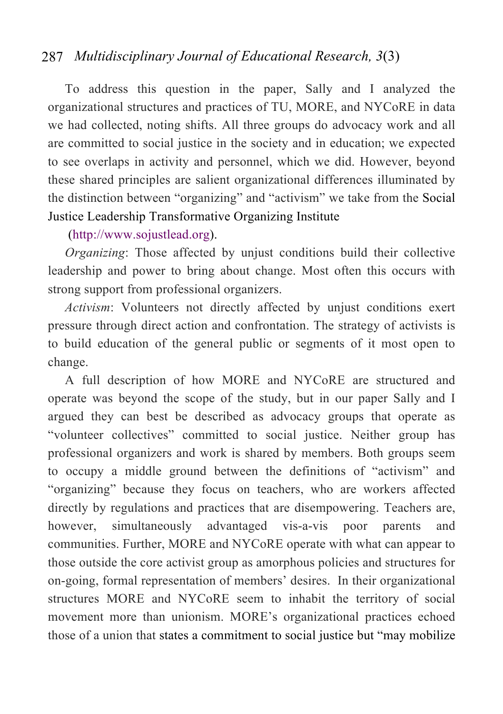To address this question in the paper, Sally and I analyzed the organizational structures and practices of TU, MORE, and NYCoRE in data we had collected, noting shifts. All three groups do advocacy work and all are committed to social justice in the society and in education; we expected to see overlaps in activity and personnel, which we did. However, beyond these shared principles are salient organizational differences illuminated by the distinction between "organizing" and "activism" we take from the Social Justice Leadership Transformative Organizing Institute

#### (http://www.sojustlead.org).

*Organizing*: Those affected by unjust conditions build their collective leadership and power to bring about change. Most often this occurs with strong support from professional organizers.

*Activism*: Volunteers not directly affected by unjust conditions exert pressure through direct action and confrontation. The strategy of activists is to build education of the general public or segments of it most open to change.

A full description of how MORE and NYCoRE are structured and operate was beyond the scope of the study, but in our paper Sally and I argued they can best be described as advocacy groups that operate as "volunteer collectives" committed to social justice. Neither group has professional organizers and work is shared by members. Both groups seem to occupy a middle ground between the definitions of "activism" and "organizing" because they focus on teachers, who are workers affected directly by regulations and practices that are disempowering. Teachers are, however, simultaneously advantaged vis-a-vis poor parents and communities. Further, MORE and NYCoRE operate with what can appear to those outside the core activist group as amorphous policies and structures for on-going, formal representation of members' desires. In their organizational structures MORE and NYCoRE seem to inhabit the territory of social movement more than unionism. MORE's organizational practices echoed those of a union that states a commitment to social justice but "may mobilize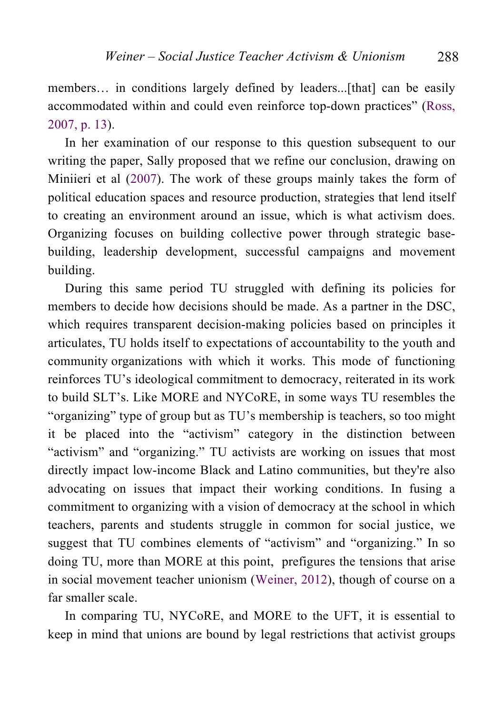members... in conditions largely defined by leaders...[that] can be easily accommodated within and could even reinforce top-down practices" (Ross, 2007, p. 13).

In her examination of our response to this question subsequent to our writing the paper, Sally proposed that we refine our conclusion, drawing on Miniieri et al (2007). The work of these groups mainly takes the form of political education spaces and resource production, strategies that lend itself to creating an environment around an issue, which is what activism does. Organizing focuses on building collective power through strategic basebuilding, leadership development, successful campaigns and movement building.

During this same period TU struggled with defining its policies for members to decide how decisions should be made. As a partner in the DSC, which requires transparent decision-making policies based on principles it articulates, TU holds itself to expectations of accountability to the youth and community organizations with which it works. This mode of functioning reinforces TU's ideological commitment to democracy, reiterated in its work to build SLT's. Like MORE and NYCoRE, in some ways TU resembles the "organizing" type of group but as TU's membership is teachers, so too might it be placed into the "activism" category in the distinction between "activism" and "organizing." TU activists are working on issues that most directly impact low-income Black and Latino communities, but they're also advocating on issues that impact their working conditions. In fusing a commitment to organizing with a vision of democracy at the school in which teachers, parents and students struggle in common for social justice, we suggest that TU combines elements of "activism" and "organizing." In so doing TU, more than MORE at this point, prefigures the tensions that arise in social movement teacher unionism (Weiner, 2012), though of course on a far smaller scale.

In comparing TU, NYCoRE, and MORE to the UFT, it is essential to keep in mind that unions are bound by legal restrictions that activist groups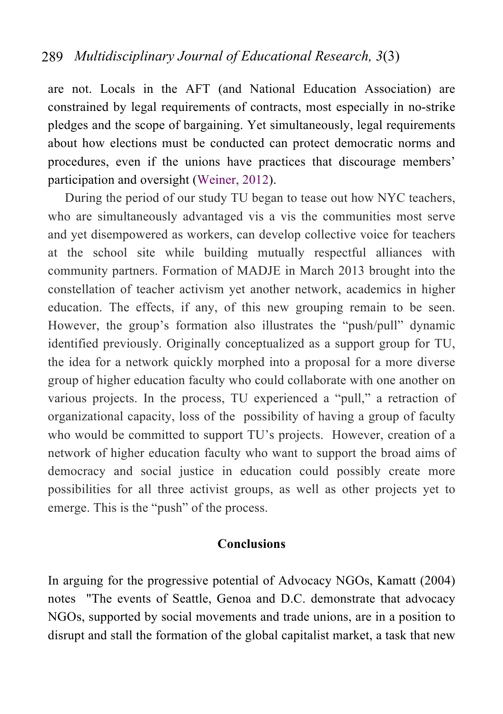are not. Locals in the AFT (and National Education Association) are constrained by legal requirements of contracts, most especially in no-strike pledges and the scope of bargaining. Yet simultaneously, legal requirements about how elections must be conducted can protect democratic norms and procedures, even if the unions have practices that discourage members' participation and oversight (Weiner, 2012).

During the period of our study TU began to tease out how NYC teachers, who are simultaneously advantaged vis a vis the communities most serve and yet disempowered as workers, can develop collective voice for teachers at the school site while building mutually respectful alliances with community partners. Formation of MADJE in March 2013 brought into the constellation of teacher activism yet another network, academics in higher education. The effects, if any, of this new grouping remain to be seen. However, the group's formation also illustrates the "push/pull" dynamic identified previously. Originally conceptualized as a support group for TU, the idea for a network quickly morphed into a proposal for a more diverse group of higher education faculty who could collaborate with one another on various projects. In the process, TU experienced a "pull," a retraction of organizational capacity, loss of the possibility of having a group of faculty who would be committed to support TU's projects. However, creation of a network of higher education faculty who want to support the broad aims of democracy and social justice in education could possibly create more possibilities for all three activist groups, as well as other projects yet to emerge. This is the "push" of the process.

#### **Conclusions**

In arguing for the progressive potential of Advocacy NGOs, Kamatt (2004) notes "The events of Seattle, Genoa and D.C. demonstrate that advocacy NGOs, supported by social movements and trade unions, are in a position to disrupt and stall the formation of the global capitalist market, a task that new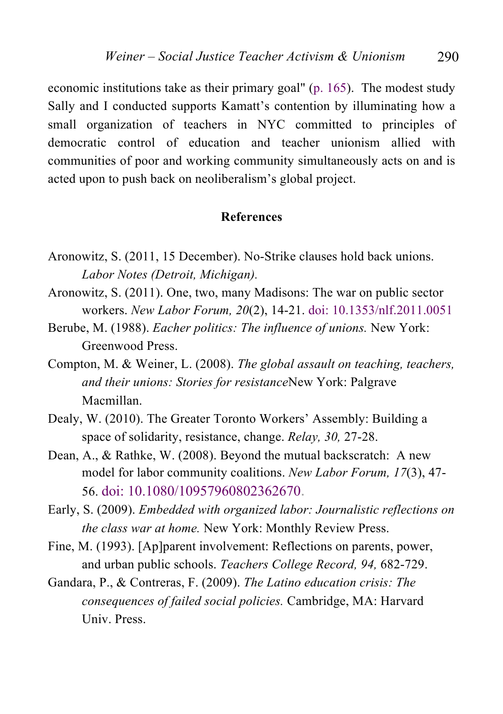economic institutions take as their primary goal" (p. 165). The modest study Sally and I conducted supports Kamatt's contention by illuminating how a small organization of teachers in NYC committed to principles of democratic control of education and teacher unionism allied with communities of poor and working community simultaneously acts on and is acted upon to push back on neoliberalism's global project.

#### **References**

- Aronowitz, S. (2011, 15 December). No-Strike clauses hold back unions. *Labor Notes (Detroit, Michigan).*
- Aronowitz, S. (2011). One, two, many Madisons: The war on public sector workers. *New Labor Forum, 20*(2), 14-21. doi: 10.1353/nlf.2011.0051
- Berube, M. (1988). *Eacher politics: The influence of unions.* New York: Greenwood Press.
- Compton, M. & Weiner, L. (2008). *The global assault on teaching, teachers, and their unions: Stories for resistance*New York: Palgrave Macmillan.
- Dealy, W. (2010). The Greater Toronto Workers' Assembly: Building a space of solidarity, resistance, change. *Relay, 30,* 27-28.
- Dean, A., & Rathke, W. (2008). Beyond the mutual backscratch: A new model for labor community coalitions. *New Labor Forum, 17*(3), 47- 56. doi: 10.1080/10957960802362670.
- Early, S. (2009). *Embedded with organized labor: Journalistic reflections on the class war at home.* New York: Monthly Review Press.
- Fine, M. (1993). [Ap]parent involvement: Reflections on parents, power, and urban public schools. *Teachers College Record, 94,* 682-729.
- Gandara, P., & Contreras, F. (2009). *The Latino education crisis: The consequences of failed social policies.* Cambridge, MA: Harvard Univ. Press.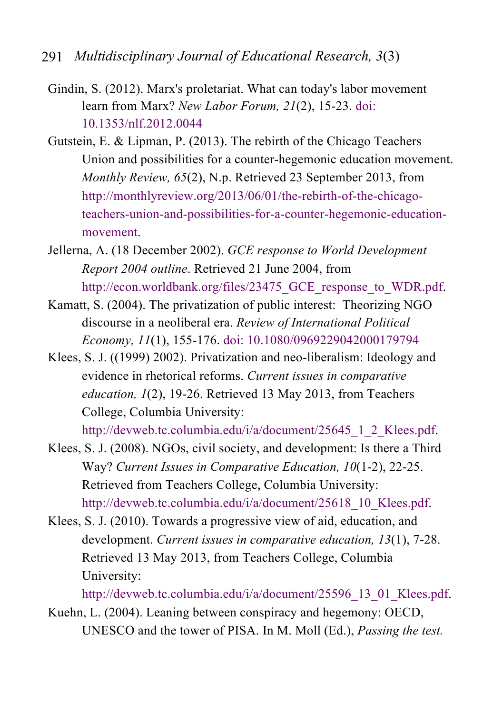- 291 *Multidisciplinary Journal of Educational Research, 3*(3)
	- Gindin, S. (2012). Marx's proletariat. What can today's labor movement learn from Marx? *New Labor Forum, 21*(2), 15-23. doi: 10.1353/nlf.2012.0044
	- Gutstein, E. & Lipman, P. (2013). The rebirth of the Chicago Teachers Union and possibilities for a counter-hegemonic education movement. *Monthly Review, 65*(2), N.p. Retrieved 23 September 2013, from http://monthlyreview.org/2013/06/01/the-rebirth-of-the-chicagoteachers-union-and-possibilities-for-a-counter-hegemonic-educationmovement.
	- Jellerna, A. (18 December 2002). *GCE response to World Development Report 2004 outline*. Retrieved 21 June 2004, from http://econ.worldbank.org/files/23475\_GCE\_response\_to\_WDR.pdf.
	- Kamatt, S. (2004). The privatization of public interest: Theorizing NGO discourse in a neoliberal era. *Review of International Political Economy, 11*(1), 155-176. doi: 10.1080/0969229042000179794
	- Klees, S. J. ((1999) 2002). Privatization and neo-liberalism: Ideology and evidence in rhetorical reforms. *Current issues in comparative education, 1*(2), 19-26. Retrieved 13 May 2013, from Teachers College, Columbia University:

http://devweb.tc.columbia.edu/i/a/document/25645\_1\_2\_Klees.pdf.

- Klees, S. J. (2008). NGOs, civil society, and development: Is there a Third Way? *Current Issues in Comparative Education, 10*(1-2), 22-25. Retrieved from Teachers College, Columbia University: http://devweb.tc.columbia.edu/i/a/document/25618\_10\_Klees.pdf.
- Klees, S. J. (2010). Towards a progressive view of aid, education, and development. *Current issues in comparative education, 13*(1), 7-28. Retrieved 13 May 2013, from Teachers College, Columbia University:

http://devweb.tc.columbia.edu/i/a/document/25596\_13\_01\_Klees.pdf.

Kuehn, L. (2004). Leaning between conspiracy and hegemony: OECD, UNESCO and the tower of PISA. In M. Moll (Ed.), *Passing the test.*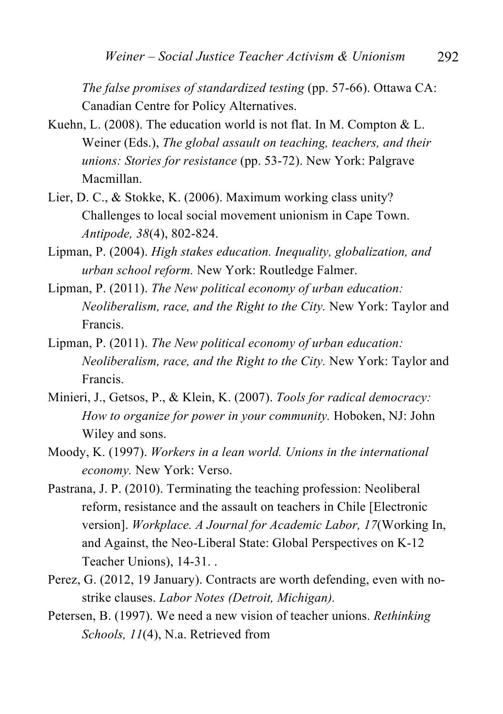*The false promises of standardized testing* (pp. 57-66). Ottawa CA: Canadian Centre for Policy Alternatives.

- Kuehn, L. (2008). The education world is not flat. In M. Compton & L. Weiner (Eds.), *The global assault on teaching, teachers, and their unions: Stories for resistance* (pp. 53-72). New York: Palgrave Macmillan.
- Lier, D. C., & Stokke, K. (2006). Maximum working class unity? Challenges to local social movement unionism in Cape Town. *Antipode, 38*(4), 802-824.
- Lipman, P. (2004). *High stakes education. Inequality, globalization, and urban school reform.* New York: Routledge Falmer.
- Lipman, P. (2011). *The New political economy of urban education: Neoliberalism, race, and the Right to the City.* New York: Taylor and Francis.
- Lipman, P. (2011). *The New political economy of urban education: Neoliberalism, race, and the Right to the City.* New York: Taylor and Francis.
- Minieri, J., Getsos, P., & Klein, K. (2007). *Tools for radical democracy: How to organize for power in your community.* Hoboken, NJ: John Wiley and sons.
- Moody, K. (1997). *Workers in a lean world. Unions in the international economy.* New York: Verso.
- Pastrana, J. P. (2010). Terminating the teaching profession: Neoliberal reform, resistance and the assault on teachers in Chile [Electronic version]. *Workplace. A Journal for Academic Labor, 17*(Working In, and Against, the Neo-Liberal State: Global Perspectives on K-12 Teacher Unions), 14-31. .
- Perez, G. (2012, 19 January). Contracts are worth defending, even with nostrike clauses. *Labor Notes (Detroit, Michigan).*
- Petersen, B. (1997). We need a new vision of teacher unions. *Rethinking Schools, 11*(4), N.a. Retrieved from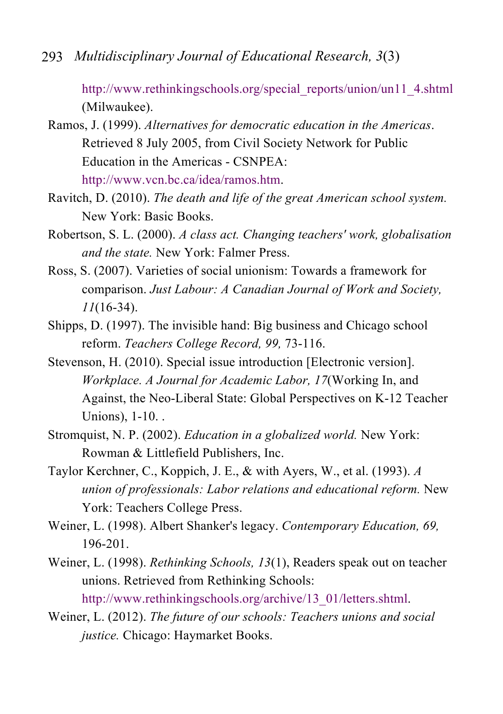http://www.rethinkingschools.org/special\_reports/union/un11\_4.shtml (Milwaukee).

Ramos, J. (1999). *Alternatives for democratic education in the Americas*. Retrieved 8 July 2005, from Civil Society Network for Public Education in the Americas - CSNPEA: http://www.vcn.bc.ca/idea/ramos.htm.

Ravitch, D. (2010). *The death and life of the great American school system.* New York: Basic Books.

- Robertson, S. L. (2000). *A class act. Changing teachers' work, globalisation and the state.* New York: Falmer Press.
- Ross, S. (2007). Varieties of social unionism: Towards a framework for comparison. *Just Labour: A Canadian Journal of Work and Society, 11*(16-34).
- Shipps, D. (1997). The invisible hand: Big business and Chicago school reform. *Teachers College Record, 99,* 73-116.
- Stevenson, H. (2010). Special issue introduction [Electronic version]. *Workplace. A Journal for Academic Labor, 17*(Working In, and Against, the Neo-Liberal State: Global Perspectives on K-12 Teacher Unions), 1-10. .
- Stromquist, N. P. (2002). *Education in a globalized world.* New York: Rowman & Littlefield Publishers, Inc.
- Taylor Kerchner, C., Koppich, J. E., & with Ayers, W., et al. (1993). *A union of professionals: Labor relations and educational reform.* New York: Teachers College Press.
- Weiner, L. (1998). Albert Shanker's legacy. *Contemporary Education, 69,* 196-201.
- Weiner, L. (1998). *Rethinking Schools, 13*(1), Readers speak out on teacher unions. Retrieved from Rethinking Schools: http://www.rethinkingschools.org/archive/13\_01/letters.shtml.
- Weiner, L. (2012). *The future of our schools: Teachers unions and social justice.* Chicago: Haymarket Books.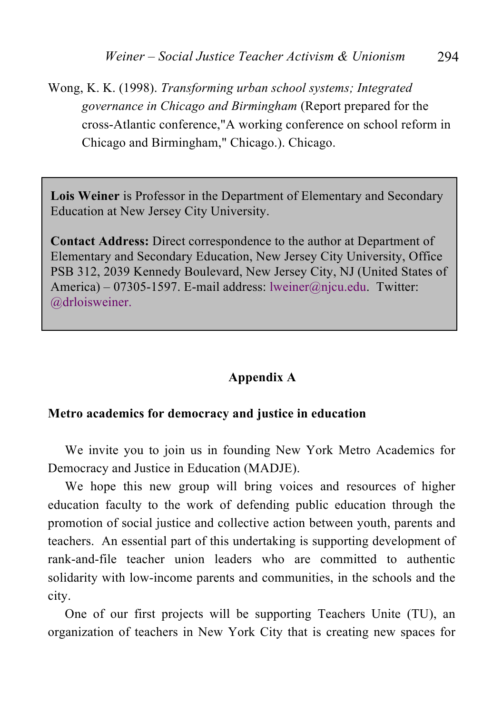Wong, K. K. (1998). *Transforming urban school systems; Integrated governance in Chicago and Birmingham* (Report prepared for the cross-Atlantic conference,"A working conference on school reform in Chicago and Birmingham," Chicago.). Chicago.

**Lois Weiner** is Professor in the Department of Elementary and Secondary Education at New Jersey City University.

**Contact Address:** Direct correspondence to the author at Department of Elementary and Secondary Education, New Jersey City University, Office PSB 312, 2039 Kennedy Boulevard, New Jersey City, NJ (United States of America) – 07305-1597. E-mail address: lweiner@njcu.edu. Twitter: @drloisweiner.

### **Appendix A**

#### **Metro academics for democracy and justice in education**

We invite you to join us in founding New York Metro Academics for Democracy and Justice in Education (MADJE).

We hope this new group will bring voices and resources of higher education faculty to the work of defending public education through the promotion of social justice and collective action between youth, parents and teachers. An essential part of this undertaking is supporting development of rank-and-file teacher union leaders who are committed to authentic solidarity with low-income parents and communities, in the schools and the city.

One of our first projects will be supporting Teachers Unite (TU), an organization of teachers in New York City that is creating new spaces for